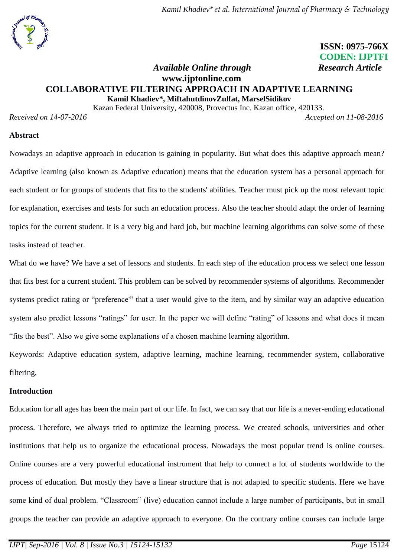# **ISSN: 0975-766X CODEN: IJPTFI**

# *Available Online through* **Research Article www.ijptonline.com COLLABORATIVE FILTERING APPROACH IN ADAPTIVE LEARNING Kamil Khadiev\*, MiftahutdinovZulfat, MarselSidikov**

Kazan Federal University, 420008, Provectus Inc. Kazan office, 420133.

*Received on 14-07-2016 Accepted on 11-08-2016*

## **Abstract**

Nowadays an adaptive approach in education is gaining in popularity. But what does this adaptive approach mean? Adaptive learning (also known as Adaptive education) means that the education system has a personal approach for each student or for groups of students that fits to the students' abilities. Teacher must pick up the most relevant topic for explanation, exercises and tests for such an education process. Also the teacher should adapt the order of learning topics for the current student. It is a very big and hard job, but machine learning algorithms can solve some of these tasks instead of teacher.

What do we have? We have a set of lessons and students. In each step of the education process we select one lesson that fits best for a current student. This problem can be solved by recommender systems of algorithms. Recommender systems predict rating or "preference" that a user would give to the item, and by similar way an adaptive education system also predict lessons "ratings" for user. In the paper we will define "rating" of lessons and what does it mean "fits the best". Also we give some explanations of a chosen machine learning algorithm.

Keywords: Adaptive education system, adaptive learning, machine learning, recommender system, collaborative filtering,

## **Introduction**

Education for all ages has been the main part of our life. In fact, we can say that our life is a never-ending educational process. Therefore, we always tried to optimize the learning process. We created schools, universities and other institutions that help us to organize the educational process. Nowadays the most popular trend is online courses. Online courses are a very powerful educational instrument that help to connect a lot of students worldwide to the process of education. But mostly they have a linear structure that is not adapted to specific students. Here we have some kind of dual problem. "Classroom" (live) education cannot include a large number of participants, but in small groups the teacher can provide an adaptive approach to everyone. On the contrary online courses can include large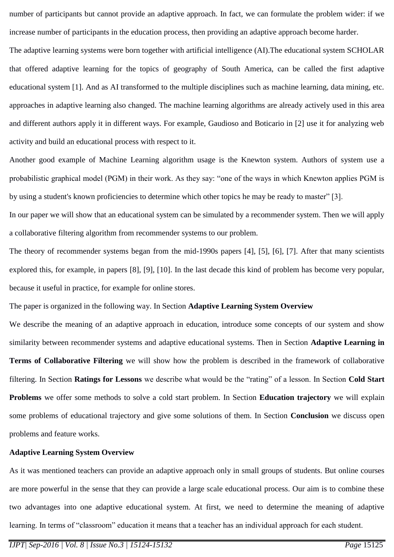number of participants but cannot provide an adaptive approach. In fact, we can formulate the problem wider: if we increase number of participants in the education process, then providing an adaptive approach become harder.

The adaptive learning systems were born together with artificial intelligence (AI).The educational system SCHOLAR that offered adaptive learning for the topics of geography of South America, can be called the first adaptive educational system [1]. And as AI transformed to the multiple disciplines such as machine learning, data mining, etc. approaches in adaptive learning also changed. The machine learning algorithms are already actively used in this area and different authors apply it in different ways. For example, Gaudioso and Boticario in [2] use it for analyzing web activity and build an educational process with respect to it.

Another good example of Machine Learning algorithm usage is the Knewton system. Authors of system use a probabilistic graphical model (PGM) in their work. As they say: "one of the ways in which Knewton applies PGM is by using a student's known proficiencies to determine which other topics he may be ready to master" [3].

In our paper we will show that an educational system can be simulated by a recommender system. Then we will apply a collaborative filtering algorithm from recommender systems to our problem.

The theory of recommender systems began from the mid-1990s papers [4], [5], [6], [7]. After that many scientists explored this, for example, in papers [8], [9], [10]. In the last decade this kind of problem has become very popular, because it useful in practice, for example for online stores.

The paper is organized in the following way. In Section **Adaptive Learning System Overview**

We describe the meaning of an adaptive approach in education, introduce some concepts of our system and show similarity between recommender systems and adaptive educational systems. Then in Section **Adaptive Learning in Terms of Collaborative Filtering** we will show how the problem is described in the framework of collaborative filtering. In Section **Ratings for Lessons** we describe what would be the "rating" of a lesson. In Section **Cold Start Problems** we offer some methods to solve a cold start problem. In Section **Education trajectory** we will explain some problems of educational trajectory and give some solutions of them. In Section **Conclusion** we discuss open problems and feature works.

## **Adaptive Learning System Overview**

As it was mentioned teachers can provide an adaptive approach only in small groups of students. But online courses are more powerful in the sense that they can provide a large scale educational process. Our aim is to combine these two advantages into one adaptive educational system. At first, we need to determine the meaning of adaptive learning. In terms of "classroom" education it means that a teacher has an individual approach for each student.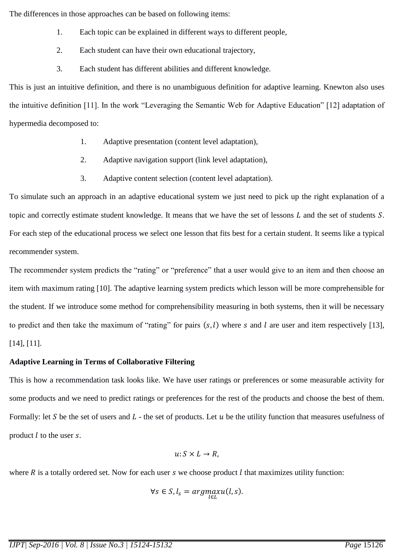The differences in those approaches can be based on following items:

- 1. Each topic can be explained in different ways to different people,
- 2. Each student can have their own educational trajectory,
- 3. Each student has different abilities and different knowledge.

This is just an intuitive definition, and there is no unambiguous definition for adaptive learning. Knewton also uses the intuitive definition [11]. In the work "Leveraging the Semantic Web for Adaptive Education" [12] adaptation of hypermedia decomposed to:

- 1. Adaptive presentation (content level adaptation),
- 2. Adaptive navigation support (link level adaptation),
- 3. Adaptive content selection (content level adaptation).

To simulate such an approach in an adaptive educational system we just need to pick up the right explanation of a topic and correctly estimate student knowledge. It means that we have the set of lessons  $L$  and the set of students  $S$ . For each step of the educational process we select one lesson that fits best for a certain student. It seems like a typical recommender system.

The recommender system predicts the "rating" or "preference" that a user would give to an item and then choose an item with maximum rating [10]. The adaptive learning system predicts which lesson will be more comprehensible for the student. If we introduce some method for comprehensibility measuring in both systems, then it will be necessary to predict and then take the maximum of "rating" for pairs  $(s, l)$  where s and l are user and item respectively [13], [14], [11].

# **Adaptive Learning in Terms of Collaborative Filtering**

This is how a recommendation task looks like. We have user ratings or preferences or some measurable activity for some products and we need to predict ratings or preferences for the rest of the products and choose the best of them. Formally: let S be the set of users and L - the set of products. Let u be the utility function that measures usefulness of product  $l$  to the user  $s$ .

$$
u\colon S\times L\to R,
$$

where  $R$  is a totally ordered set. Now for each user  $s$  we choose product  $l$  that maximizes utility function:

$$
\forall s \in S, l_s = argmax_{l \in L} u(l, s).
$$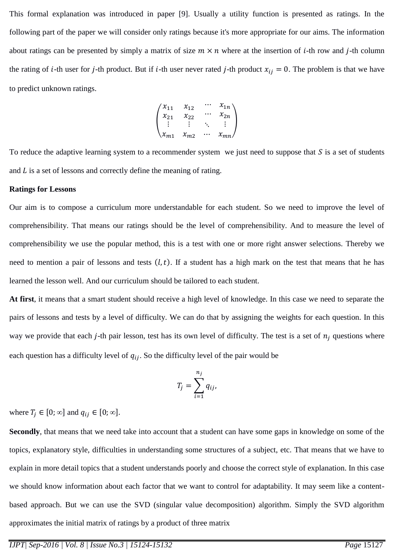This formal explanation was introduced in paper [9]. Usually a utility function is presented as ratings. In the following part of the paper we will consider only ratings because it's more appropriate for our aims. The information about ratings can be presented by simply a matrix of size  $m \times n$  where at the insertion of *i*-th row and *j*-th column the rating of *i*-th user for *j*-th product. But if *i*-th user never rated *j*-th product  $x_{ij} = 0$ . The problem is that we have to predict unknown ratings.

$$
\begin{pmatrix} x_{11} & x_{12} & \cdots & x_{1n} \\ x_{21} & x_{22} & \cdots & x_{2n} \\ \vdots & \vdots & \ddots & \vdots \\ x_{m1} & x_{m2} & \cdots & x_{mn} \end{pmatrix}
$$

To reduce the adaptive learning system to a recommender system we just need to suppose that  $S$  is a set of students and  $L$  is a set of lessons and correctly define the meaning of rating.

#### **Ratings for Lessons**

Our aim is to compose a curriculum more understandable for each student. So we need to improve the level of comprehensibility. That means our ratings should be the level of comprehensibility. And to measure the level of comprehensibility we use the popular method, this is a test with one or more right answer selections. Thereby we need to mention a pair of lessons and tests  $(l, t)$ . If a student has a high mark on the test that means that he has learned the lesson well. And our curriculum should be tailored to each student.

**At first**, it means that a smart student should receive a high level of knowledge. In this case we need to separate the pairs of lessons and tests by a level of difficulty. We can do that by assigning the weights for each question. In this way we provide that each *j*-th pair lesson, test has its own level of difficulty. The test is a set of  $n_i$  questions where each question has a difficulty level of  $q_{ij}$ . So the difficulty level of the pair would be

$$
T_j = \sum_{i=1}^{n_j} q_{ij},
$$

where  $T_j \in [0; \infty]$  and  $q_{ij} \in [0; \infty]$ .

**Secondly**, that means that we need take into account that a student can have some gaps in knowledge on some of the topics, explanatory style, difficulties in understanding some structures of a subject, etc. That means that we have to explain in more detail topics that a student understands poorly and choose the correct style of explanation. In this case we should know information about each factor that we want to control for adaptability. It may seem like a contentbased approach. But we can use the SVD (singular value decomposition) algorithm. Simply the SVD algorithm approximates the initial matrix of ratings by a product of three matrix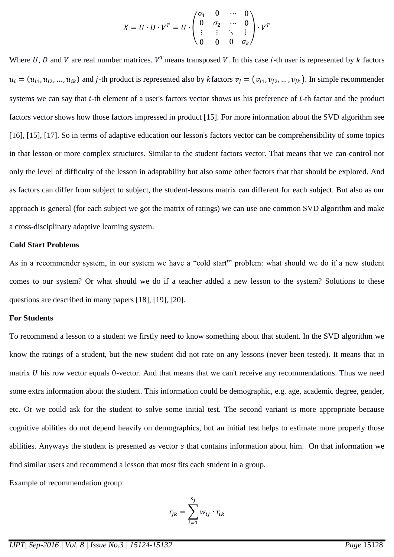$$
X = U \cdot D \cdot V^T = U \cdot \begin{pmatrix} \sigma_1 & 0 & \cdots & 0 \\ 0 & \sigma_2 & \cdots & 0 \\ \vdots & \vdots & \ddots & \vdots \\ 0 & 0 & 0 & \sigma_k \end{pmatrix} \cdot V^T
$$

Where U, D and V are real number matrices.  $V^T$  means transposed V. In this case *i*-th user is represented by k factors  $u_i = (u_{i1}, u_{i2}, ..., u_{ik})$  and *j*-th product is represented also by *k* factors  $v_j = (v_{j1}, v_{j2}, ..., v_{jk})$ . In simple recommender systems we can say that *i*-th element of a user's factors vector shows us his preference of *i*-th factor and the product factors vector shows how those factors impressed in product [15]. For more information about the SVD algorithm see [16], [15], [17]. So in terms of adaptive education our lesson's factors vector can be comprehensibility of some topics in that lesson or more complex structures. Similar to the student factors vector. That means that we can control not only the level of difficulty of the lesson in adaptability but also some other factors that that should be explored. And as factors can differ from subject to subject, the student-lessons matrix can different for each subject. But also as our approach is general (for each subject we got the matrix of ratings) we can use one common SVD algorithm and make a cross-disciplinary adaptive learning system.

#### **Cold Start Problems**

As in a recommender system, in our system we have a "cold start'" problem: what should we do if a new student comes to our system? Or what should we do if a teacher added a new lesson to the system? Solutions to these questions are described in many papers [18], [19], [20].

#### **For Students**

To recommend a lesson to a student we firstly need to know something about that student. In the SVD algorithm we know the ratings of a student, but the new student did not rate on any lessons (never been tested). It means that in matrix  *his row vector equals 0-vector. And that means that we can't receive any recommendations. Thus we need* some extra information about the student. This information could be demographic, e.g. age, academic degree, gender, etc. Or we could ask for the student to solve some initial test. The second variant is more appropriate because cognitive abilities do not depend heavily on demographics, but an initial test helps to estimate more properly those abilities. Anyways the student is presented as vector s that contains information about him. On that information we find similar users and recommend a lesson that most fits each student in a group.

Example of recommendation group:

$$
r_{jk} = \sum_{i=1}^{s_j} w_{ij} \cdot r_{ik}
$$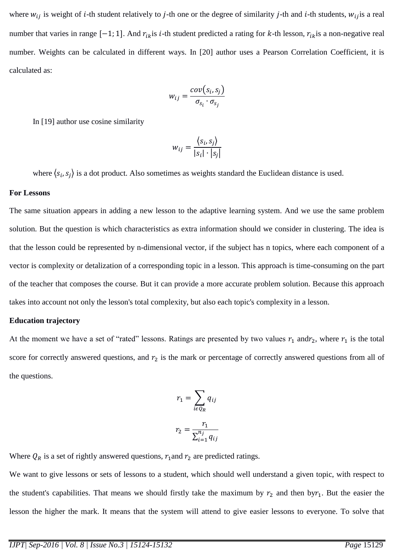where  $w_{ij}$  is weight of *i*-th student relatively to *j*-th one or the degree of similarity *j*-th and *i*-th students,  $w_{ij}$  is a real number that varies in range  $[-1, 1]$ . And  $r_{ik}$  is *i*-th student predicted a rating for *k*-th lesson,  $r_{ik}$  is a non-negative real number. Weights can be calculated in different ways. In [20] author uses a Pearson Correlation Coefficient, it is calculated as:

$$
w_{ij} = \frac{cov(s_i, s_j)}{\sigma_{s_i} \cdot \sigma_{s_j}}
$$

In [19] author use cosine similarity

$$
w_{ij} = \frac{\langle s_i, s_j \rangle}{|s_i| \cdot |s_j|}
$$

where  $\langle s_i, s_j \rangle$  is a dot product. Also sometimes as weights standard the Euclidean distance is used.

#### **For Lessons**

The same situation appears in adding a new lesson to the adaptive learning system. And we use the same problem solution. But the question is which characteristics as extra information should we consider in clustering. The idea is that the lesson could be represented by n-dimensional vector, if the subject has n topics, where each component of a vector is complexity or detalization of a corresponding topic in a lesson. This approach is time-consuming on the part of the teacher that composes the course. But it can provide a more accurate problem solution. Because this approach takes into account not only the lesson's total complexity, but also each topic's complexity in a lesson.

#### **Education trajectory**

At the moment we have a set of "rated" lessons. Ratings are presented by two values  $r_1$  and  $r_2$ , where  $r_1$  is the total score for correctly answered questions, and  $r_2$  is the mark or percentage of correctly answered questions from all of the questions.

$$
r_1 = \sum_{i \in Q_R} q_{ij}
$$

$$
r_2 = \frac{r_1}{\sum_{i=1}^{n_j} q_{ij}}
$$

Where  $Q_R$  is a set of rightly answered questions,  $r_1$  and  $r_2$  are predicted ratings.

We want to give lessons or sets of lessons to a student, which should well understand a given topic, with respect to the student's capabilities. That means we should firstly take the maximum by  $r_2$  and then by  $r_1$ . But the easier the lesson the higher the mark. It means that the system will attend to give easier lessons to everyone. To solve that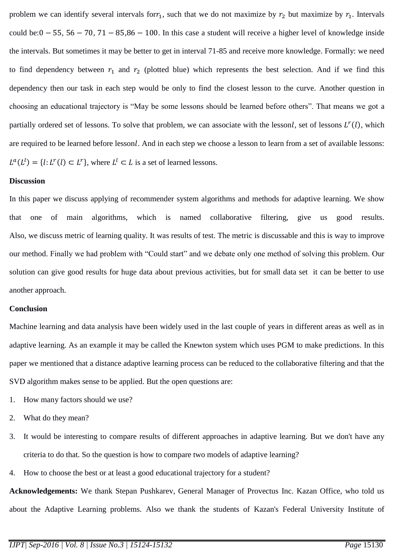problem we can identify several intervals for  $r_1$ , such that we do not maximize by  $r_2$  but maximize by  $r_1$ . Intervals could be:  $0 - 55$ ,  $56 - 70$ ,  $71 - 85,86 - 100$ . In this case a student will receive a higher level of knowledge inside the intervals. But sometimes it may be better to get in interval 71-85 and receive more knowledge. Formally: we need to find dependency between  $r_1$  and  $r_2$  (plotted blue) which represents the best selection. And if we find this dependency then our task in each step would be only to find the closest lesson to the curve. Another question in choosing an educational trajectory is "May be some lessons should be learned before others". That means we got a partially ordered set of lessons. To solve that problem, we can associate with the lessonl, set of lessons  $L^r(l)$ , which are required to be learned before lessonl. And in each step we choose a lesson to learn from a set of available lessons:  $L^a(L^l) = \{l : L^r(l) \subset L^r\}$ , where  $L^l \subset L$  is a set of learned lessons.

#### **Discussion**

In this paper we discuss applying of recommender system algorithms and methods for adaptive learning. We show that one of main algorithms, which is named collaborative filtering, give us good results. Also, we discuss metric of learning quality. It was results of test. The metric is discussable and this is way to improve our method. Finally we had problem with "Could start" and we debate only one method of solving this problem. Our solution can give good results for huge data about previous activities, but for small data set it can be better to use another approach.

## **Conclusion**

Machine learning and data analysis have been widely used in the last couple of years in different areas as well as in adaptive learning. As an example it may be called the Knewton system which uses PGM to make predictions. In this paper we mentioned that a distance adaptive learning process can be reduced to the collaborative filtering and that the SVD algorithm makes sense to be applied. But the open questions are:

- 1. How many factors should we use?
- 2. What do they mean?
- 3. It would be interesting to compare results of different approaches in adaptive learning. But we don't have any criteria to do that. So the question is how to compare two models of adaptive learning?
- 4. How to choose the best or at least a good educational trajectory for a student?

**Acknowledgements:** We thank Stepan Pushkarev, General Manager of Provectus Inc. Kazan Office, who told us about the Adaptive Learning problems. Also we thank the students of Kazan's Federal University Institute of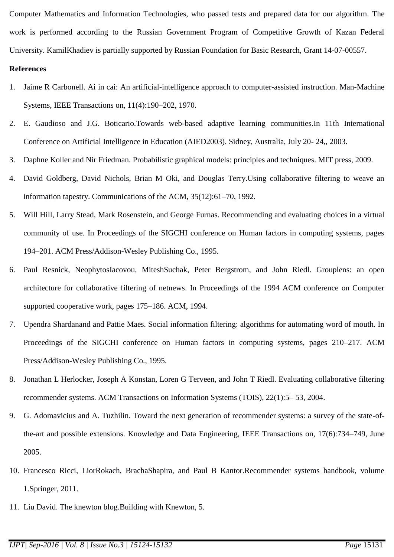Computer Mathematics and Information Technologies, who passed tests and prepared data for our algorithm. The work is performed according to the Russian Government Program of Competitive Growth of Kazan Federal University. KamilKhadiev is partially supported by Russian Foundation for Basic Research, Grant 14-07-00557.

# **References**

- 1. Jaime R Carbonell. Ai in cai: An artificial-intelligence approach to computer-assisted instruction. Man-Machine Systems, IEEE Transactions on, 11(4):190–202, 1970.
- 2. E. Gaudioso and J.G. Boticario.Towards web-based adaptive learning communities.In 11th International Conference on Artificial Intelligence in Education (AIED2003). Sidney, Australia, July 20- 24,, 2003.
- 3. Daphne Koller and Nir Friedman. Probabilistic graphical models: principles and techniques. MIT press, 2009.
- 4. David Goldberg, David Nichols, Brian M Oki, and Douglas Terry.Using collaborative filtering to weave an information tapestry. Communications of the ACM, 35(12):61–70, 1992.
- 5. Will Hill, Larry Stead, Mark Rosenstein, and George Furnas. Recommending and evaluating choices in a virtual community of use. In Proceedings of the SIGCHI conference on Human factors in computing systems, pages 194–201. ACM Press/Addison-Wesley Publishing Co., 1995.
- 6. Paul Resnick, NeophytosIacovou, MiteshSuchak, Peter Bergstrom, and John Riedl. Grouplens: an open architecture for collaborative filtering of netnews. In Proceedings of the 1994 ACM conference on Computer supported cooperative work, pages 175–186. ACM, 1994.
- 7. Upendra Shardanand and Pattie Maes. Social information filtering: algorithms for automating word of mouth. In Proceedings of the SIGCHI conference on Human factors in computing systems, pages 210–217. ACM Press/Addison-Wesley Publishing Co., 1995.
- 8. Jonathan L Herlocker, Joseph A Konstan, Loren G Terveen, and John T Riedl. Evaluating collaborative filtering recommender systems. ACM Transactions on Information Systems (TOIS), 22(1):5– 53, 2004.
- 9. G. Adomavicius and A. Tuzhilin. Toward the next generation of recommender systems: a survey of the state-ofthe-art and possible extensions. Knowledge and Data Engineering, IEEE Transactions on, 17(6):734–749, June 2005.
- 10. Francesco Ricci, LiorRokach, BrachaShapira, and Paul B Kantor.Recommender systems handbook, volume 1.Springer, 2011.
- 11. Liu David. The knewton blog.Building with Knewton, 5.